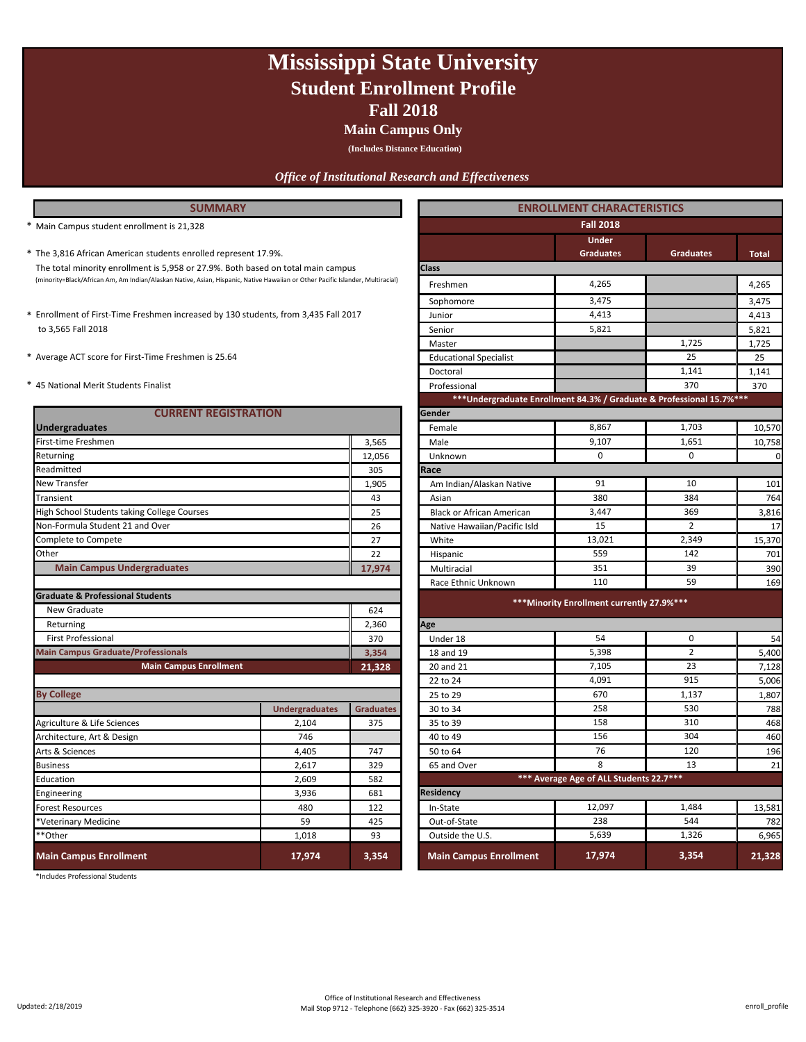## **Fall 2018 Mississippi State University Student Enrollment Profile**

**Main Campus Only**

**(Includes Distance Education)**

### *Office of Institutional Research and Effectiveness*

### **SUMMARY**

- (minority=Black/African Am, Am Indian/Alaskan Native, Asian, Hispanic, Native Hawaiian or Other Pacific Islander, Multiracial) 4,265 The total minority enrollment is 5,958 or 27.9%. Both based on total main campus
- to 3,565 Fall 2018
- 
- 

| <b>CURRENT REGISTRATION</b>                 |                       |                  | Gender                                     |                                         |                |             |  |
|---------------------------------------------|-----------------------|------------------|--------------------------------------------|-----------------------------------------|----------------|-------------|--|
| <b>Undergraduates</b>                       |                       |                  | Female                                     | 8,867                                   | 1,703          | 10,570      |  |
| First-time Freshmen                         |                       | 3,565            | Male                                       | 9,107                                   | 1,651          | 10,758      |  |
| Returning                                   |                       | 12,056           | Unknown                                    | $\mathbf 0$                             | $\Omega$       | $\mathbf 0$ |  |
| Readmitted                                  |                       | 305              | Race                                       |                                         |                |             |  |
| <b>New Transfer</b>                         |                       | 1,905            | Am Indian/Alaskan Native                   | 91                                      | 10             | 101         |  |
| Transient                                   |                       | 43               | Asian                                      | 380                                     | 384            | 764         |  |
| High School Students taking College Courses |                       | 25               | <b>Black or African American</b>           | 3,447                                   | 369            | 3,816       |  |
| Non-Formula Student 21 and Over             |                       | 26               | Native Hawaiian/Pacific Isld               | 15                                      | $\overline{2}$ | 17          |  |
| Complete to Compete                         |                       | 27               | White                                      | 13,021                                  | 2,349          | 15,370      |  |
| Other                                       |                       | 22               | Hispanic                                   | 559                                     | 142            | 701         |  |
| <b>Main Campus Undergraduates</b>           |                       | 17,974           | Multiracial                                | 351                                     | 39             | 390         |  |
|                                             |                       |                  | Race Ethnic Unknown                        | 110                                     | 59             | 169         |  |
| <b>Graduate &amp; Professional Students</b> |                       |                  |                                            |                                         |                |             |  |
| New Graduate                                |                       | 624              | *** Minority Enrollment currently 27.9%*** |                                         |                |             |  |
| Returning                                   |                       | 2,360            | Age                                        |                                         |                |             |  |
| <b>First Professional</b>                   |                       | 370              | Under 18                                   | 54                                      | $\Omega$       | 54          |  |
| <b>Main Campus Graduate/Professionals</b>   |                       | 3,354            | 18 and 19                                  | 5,398                                   | $\overline{2}$ | 5,400       |  |
| <b>Main Campus Enrollment</b>               |                       | 21,328           | 20 and 21                                  | 7,105                                   | 23             | 7,128       |  |
|                                             |                       |                  | 22 to 24                                   | 4,091                                   | 915            | 5,006       |  |
| <b>By College</b>                           |                       |                  | 25 to 29                                   | 670                                     | 1,137          | 1,807       |  |
|                                             | <b>Undergraduates</b> | <b>Graduates</b> | 30 to 34                                   | 258                                     | 530            | 788         |  |
| Agriculture & Life Sciences                 | 2,104                 | 375              | 35 to 39                                   | 158                                     | 310            | 468         |  |
| Architecture, Art & Design                  | 746                   |                  | 40 to 49                                   | 156                                     | 304            | 460         |  |
| Arts & Sciences                             | 4,405                 | 747              | 50 to 64                                   | 76                                      | 120            | 196         |  |
| <b>Business</b>                             | 2,617                 | 329              | 65 and Over                                | 8                                       | 13             | 21          |  |
| Education                                   | 2,609                 | 582              |                                            | *** Average Age of ALL Students 22.7*** |                |             |  |
| Engineering                                 | 3,936                 | 681              | <b>Residency</b>                           |                                         |                |             |  |
| <b>Forest Resources</b>                     | 480                   | 122              | In-State                                   | 12,097                                  | 1,484          | 13,581      |  |
| *Veterinary Medicine                        | 59                    | 425              | Out-of-State                               | 238                                     | 544            | 782         |  |
| **Other                                     | 1,018                 | 93               | Outside the U.S.                           | 5,639                                   | 1,326          | 6,965       |  |
| <b>Main Campus Enrollment</b>               | 17,974                | 3,354            | <b>Main Campus Enrollment</b>              | 17,974                                  | 3,354          | 21,328      |  |

\*Includes Professional Students

| <b>SUMMARY</b>                                                                                                                 |                       |                  | <b>ENROLLMENT CHARACTERISTICS</b>                                    |                                            |                  |              |
|--------------------------------------------------------------------------------------------------------------------------------|-----------------------|------------------|----------------------------------------------------------------------|--------------------------------------------|------------------|--------------|
| Main Campus student enrollment is 21,328                                                                                       |                       |                  |                                                                      | <b>Fall 2018</b>                           |                  |              |
| * The 3,816 African American students enrolled represent 17.9%.                                                                |                       |                  |                                                                      | <b>Under</b><br><b>Graduates</b>           | <b>Graduates</b> | <b>Total</b> |
| The total minority enrollment is 5,958 or 27.9%. Both based on total main campus                                               |                       |                  | <b>Class</b>                                                         |                                            |                  |              |
| (minority=Black/African Am, Am Indian/Alaskan Native, Asian, Hispanic, Native Hawaiian or Other Pacific Islander, Multiracial) |                       |                  | Freshmen                                                             | 4,265                                      |                  | 4,265        |
|                                                                                                                                |                       |                  | Sophomore                                                            | 3,475                                      |                  | 3,475        |
| * Enrollment of First-Time Freshmen increased by 130 students, from 3,435 Fall 2017                                            |                       |                  | Junior                                                               | 4,413                                      |                  | 4,413        |
| to 3,565 Fall 2018                                                                                                             |                       |                  | Senior                                                               | 5,821                                      |                  | 5,821        |
|                                                                                                                                |                       |                  | Master                                                               |                                            | 1,725            | 1,725        |
| * Average ACT score for First-Time Freshmen is 25.64                                                                           |                       |                  | <b>Educational Specialist</b>                                        |                                            | 25               | 25           |
|                                                                                                                                |                       |                  | Doctoral                                                             |                                            | 1,141            | 1,141        |
| * 45 National Merit Students Finalist                                                                                          |                       |                  | Professional                                                         |                                            | 370              | 370          |
|                                                                                                                                |                       |                  | ***Undergraduate Enrollment 84.3% / Graduate & Professional 15.7%*** |                                            |                  |              |
| <b>CURRENT REGISTRATION</b>                                                                                                    |                       |                  | Gender                                                               |                                            |                  |              |
| <b>Undergraduates</b>                                                                                                          |                       |                  | Female                                                               | 8,867                                      | 1,703            | 10,570       |
| First-time Freshmen                                                                                                            |                       | 3,565            | Male                                                                 | 9,107                                      | 1,651            | 10,758       |
| Returning                                                                                                                      |                       | 12,056           | Unknown                                                              | $\mathbf 0$                                | $\mathbf 0$      | $\mathbf 0$  |
| Readmitted                                                                                                                     |                       | 305              | Race                                                                 |                                            |                  |              |
| New Transfer                                                                                                                   |                       | 1,905            | Am Indian/Alaskan Native                                             | 91                                         | 10               | 101          |
| Transient                                                                                                                      |                       | 43               | Asian                                                                | 380                                        | 384              | 764          |
| High School Students taking College Courses                                                                                    |                       | 25               | <b>Black or African American</b>                                     | 3,447                                      | 369              | 3,816        |
| Non-Formula Student 21 and Over                                                                                                |                       | 26               | Native Hawaiian/Pacific Isld                                         | 15                                         | $\overline{2}$   | 17           |
| Complete to Compete                                                                                                            |                       | 27               | White                                                                | 13,021                                     | 2,349            | 15,370       |
| Other                                                                                                                          |                       | 22               | Hispanic                                                             | 559                                        | 142              | 701          |
| <b>Main Campus Undergraduates</b>                                                                                              |                       | 17,974           | Multiracial                                                          | 351                                        | 39               | 390          |
|                                                                                                                                |                       |                  | Race Ethnic Unknown                                                  | 110                                        | 59               | 169          |
| <b>Graduate &amp; Professional Students</b>                                                                                    |                       |                  |                                                                      | *** Minority Enrollment currently 27.9%*** |                  |              |
| New Graduate                                                                                                                   |                       | 624              |                                                                      |                                            |                  |              |
| Returning                                                                                                                      |                       | 2,360            | Age                                                                  |                                            |                  |              |
| <b>First Professional</b>                                                                                                      |                       | 370              | Under 18                                                             | 54                                         | $\mathbf{0}$     | 54           |
| <b>Main Campus Graduate/Professionals</b>                                                                                      |                       | 3,354            | 18 and 19                                                            | 5,398                                      | $\overline{2}$   | 5,400        |
| <b>Main Campus Enrollment</b>                                                                                                  |                       | 21,328           | 20 and 21                                                            | 7,105                                      | 23               | 7,128        |
|                                                                                                                                |                       |                  | 22 to 24                                                             | 4,091                                      | 915              | 5,006        |
| <b>By College</b>                                                                                                              |                       |                  | 25 to 29                                                             | 670                                        | 1,137            | 1,807        |
|                                                                                                                                | <b>Undergraduates</b> | <b>Graduates</b> | 30 to 34                                                             | 258                                        | 530              | 788          |
| Agriculture & Life Sciences                                                                                                    | 2.104                 | 375              | 35 to 39                                                             | 158                                        | 310              | 468          |
| Architecture, Art & Design                                                                                                     | 746                   |                  | 40 to 49                                                             | 156                                        | 304              | 460          |
| Arts & Sciences                                                                                                                | 4,405                 | 747              | 50 to 64                                                             | 76                                         | 120              | 196          |
| <b>Business</b>                                                                                                                | 2,617                 | 329              | 65 and Over                                                          | 8                                          | 13               | 21           |
| Education                                                                                                                      | 2,609                 | 582              |                                                                      | *** Average Age of ALL Students 22.7 ***   |                  |              |
| Engineering                                                                                                                    | 3,936                 | 681              | Residency                                                            |                                            |                  |              |
| Forest Resources                                                                                                               | 480                   | 122              | In-State                                                             | 12,097<br>238                              | 1,484            | 13,581       |
| Veterinary Medicine                                                                                                            | 59                    | 425              | Out-of-State                                                         |                                            | 544              | 782          |
| *Other                                                                                                                         | 1,018                 | 93               | Outside the U.S.                                                     | 5,639                                      | 1,326            | 6,965        |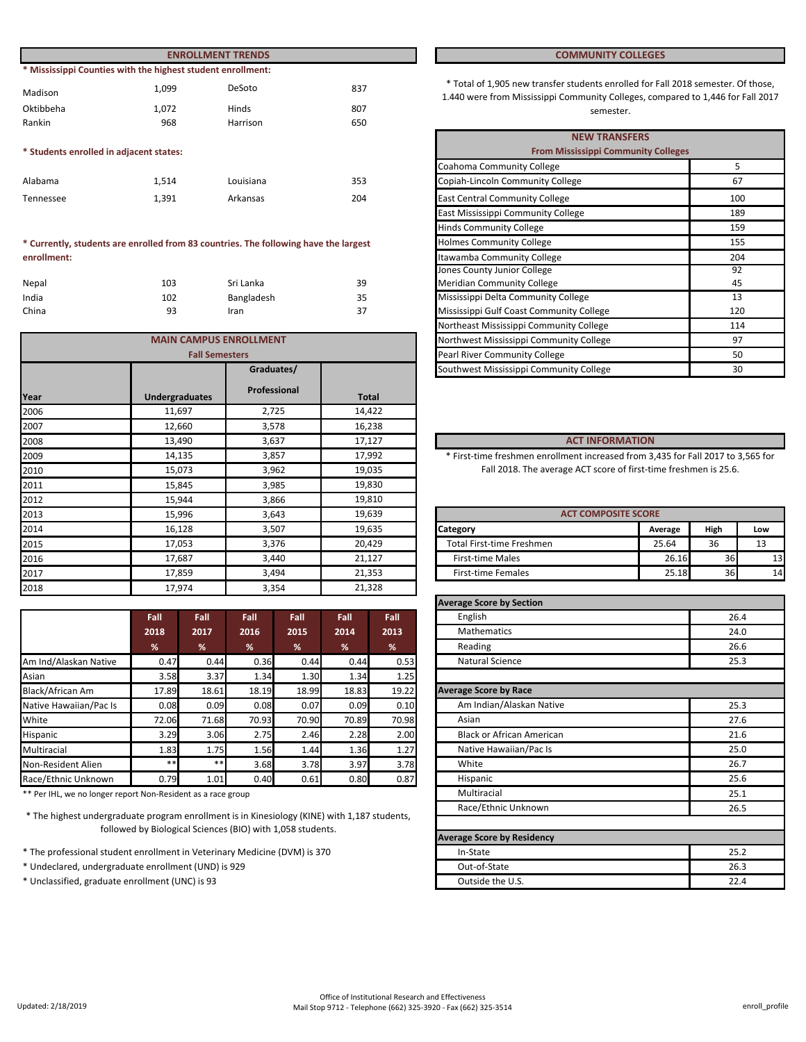|                                         |                                                             | <b>ENROLLMENT TRENDS</b> |     | <b>COMMUNITY COLLEGES</b>                                                                                                 |
|-----------------------------------------|-------------------------------------------------------------|--------------------------|-----|---------------------------------------------------------------------------------------------------------------------------|
|                                         | * Mississippi Counties with the highest student enrollment: |                          |     |                                                                                                                           |
| Madison                                 | 1.099                                                       | DeSoto                   | 837 | * Total of 1,905 new transfer students enrolled for Fall 2018<br>1.440 were from Mississippi Community Colleges, compared |
| Oktibbeha                               | 1.072                                                       | Hinds                    | 807 | semester.                                                                                                                 |
| Rankin                                  | 968                                                         | Harrison                 | 650 |                                                                                                                           |
|                                         |                                                             |                          |     | <b>NEW TRANSFERS</b>                                                                                                      |
| * Students enrolled in adjacent states: |                                                             |                          |     | <b>From Mississippi Community Colleges</b>                                                                                |
|                                         |                                                             |                          |     | Coahoma Community College                                                                                                 |

| Alabama   | 1.514 | Louisiana | 353 |
|-----------|-------|-----------|-----|
| Tennessee | 1.391 | Arkansas  | 204 |

#### **\* Currently, students are enrolled from 83 countries. The following have the largest enrollment:**

| Nepal | 103 | Sri Lanka  | 39 |
|-------|-----|------------|----|
| India | 102 | Bangladesh | 35 |
| China | 93  | Iran       | 37 |

|      | <b>MAIN CAMPUS ENROLLMENT</b> |              |        | Northwest Mississippi Community College                                          |                            | 97   |     |
|------|-------------------------------|--------------|--------|----------------------------------------------------------------------------------|----------------------------|------|-----|
|      | <b>Fall Semesters</b>         |              |        | Pearl River Community College                                                    |                            | 50   |     |
|      |                               | Graduates/   |        | Southwest Mississippi Community College                                          |                            | 30   |     |
| Year | <b>Undergraduates</b>         | Professional | Total  |                                                                                  |                            |      |     |
| 2006 | 11,697                        | 2,725        | 14,422 |                                                                                  |                            |      |     |
| 2007 | 12,660                        | 3,578        | 16,238 |                                                                                  |                            |      |     |
| 2008 | 13,490                        | 3,637        | 17,127 |                                                                                  | <b>ACT INFORMATION</b>     |      |     |
| 2009 | 14,135                        | 3,857        | 17,992 | * First-time freshmen enrollment increased from 3,435 for Fall 2017 to 3,565 for |                            |      |     |
| 2010 | 15,073                        | 3,962        | 19,035 | Fall 2018. The average ACT score of first-time freshmen is 25.6.                 |                            |      |     |
| 2011 | 15,845                        | 3,985        | 19,830 |                                                                                  |                            |      |     |
| 2012 | 15,944                        | 3,866        | 19,810 |                                                                                  |                            |      |     |
| 2013 | 15,996                        | 3,643        | 19,639 |                                                                                  | <b>ACT COMPOSITE SCORE</b> |      |     |
| 2014 | 16,128                        | 3,507        | 19,635 | Category                                                                         | Average                    | High | Low |
| 2015 | 17,053                        | 3,376        | 20,429 | Total First-time Freshmen                                                        | 25.64                      | 36   | 13  |
| 2016 | 17,687                        | 3,440        | 21,127 | <b>First-time Males</b>                                                          | 26.16                      | 36   | 13  |
| 2017 | 17,859                        | 3,494        | 21,353 | <b>First-time Females</b>                                                        | 25.18                      | 36   | 14  |
| 2018 | 17,974                        | 3,354        | 21,328 |                                                                                  |                            |      |     |

|                        | Fall  | Fall  | Fall  | Fall  | Fall  | Fall  |
|------------------------|-------|-------|-------|-------|-------|-------|
|                        | 2018  | 2017  | 2016  | 2015  | 2014  | 2013  |
|                        | %     | %     | %     | %     | %     | %     |
| Am Ind/Alaskan Native  | 0.47  | 0.44  | 0.36  | 0.44  | 0.44  | 0.53  |
| Asian                  | 3.58  | 3.37  | 1.34  | 1.30  | 1.34  | 1.25  |
| Black/African Am       | 17.89 | 18.61 | 18.19 | 18.99 | 18.83 | 19.22 |
| Native Hawaiian/Pac Is | 0.08  | 0.09  | 0.08  | 0.07  | 0.09  | 0.10  |
| White                  | 72.06 | 71.68 | 70.93 | 70.90 | 70.89 | 70.98 |
| Hispanic               | 3.29  | 3.06  | 2.75  | 2.46  | 2.28  | 2.00  |
| Multiracial            | 1.83  | 1.75  | 1.56  | 1.44  | 1.36  | 1.27  |
| Non-Resident Alien     | $***$ | $***$ | 3.68  | 3.78  | 3.97  | 3.78  |
| Race/Ethnic Unknown    | 0.79  | 1.01  | 0.40  | 0.61  | 0.80  | 0.87  |

\*\* Per IHL, we no longer report Non-Resident as a race group

\* The highest undergraduate program enrollment is in Kinesiology (KINE) with 1,187 students, followed by Biological Sciences (BIO) with 1,058 students.

- \* The professional student enrollment in Veterinary Medicine (DVM) is 370
- \* Undeclared, undergraduate enrollment (UND) is 929
- \* Unclassified, graduate enrollment (UNC) is 93

### **COMMUNITY COLLEGES**

\* Total of 1,905 new transfer students enrolled for Fall 2018 semester. Of those, 1.440 were from Mississippi Community Colleges, compared to 1,446 for Fall 2017 Hinds SO7 807 Semester.

|                       |                                              |     | <b>NEW TRANSFERS</b>                       |     |
|-----------------------|----------------------------------------------|-----|--------------------------------------------|-----|
|                       |                                              |     | <b>From Mississippi Community Colleges</b> |     |
|                       |                                              |     | Coahoma Community College                  | 5   |
|                       | Louisiana                                    | 353 | Copiah-Lincoln Community College           | 67  |
|                       | Arkansas                                     | 204 | <b>East Central Community College</b>      | 100 |
|                       |                                              |     | East Mississippi Community College         | 189 |
|                       |                                              |     | <b>Hinds Community College</b>             | 159 |
|                       | 83 countries. The following have the largest |     | <b>Holmes Community College</b>            | 155 |
|                       |                                              |     | Itawamba Community College                 | 204 |
|                       |                                              |     | Jones County Junior College                | 92  |
|                       | Sri Lanka                                    | 39  | Meridian Community College                 | 45  |
|                       | Bangladesh                                   | 35  | Mississippi Delta Community College        | 13  |
|                       | Iran                                         | 37  | Mississippi Gulf Coast Community College   | 120 |
|                       |                                              |     | Northeast Mississippi Community College    | 114 |
|                       | <b>AMPUS ENROLLMENT</b>                      |     | Northwest Mississippi Community College    | 97  |
| <b>Fall Semesters</b> |                                              |     | Pearl River Community College              | 50  |
|                       | Graduates/                                   |     | Southwest Mississippi Community College    | 30  |

#### 13,490 3,637 17,127 **ACT INFORMATION**

| <b>ACT COMPOSITE SCORE</b>       |         |      |      |
|----------------------------------|---------|------|------|
| <b>ICategory</b>                 | Average | High | Low  |
| <b>Total First-time Freshmen</b> | 25.64   | 36   | 13   |
| <b>First-time Males</b>          | 26.16   | 36   | 13   |
| <b>First-time Females</b>        | 25.18   | 36   | 14 I |

| <b>Average Score by Section</b>   |      |
|-----------------------------------|------|
| English                           | 26.4 |
| <b>Mathematics</b>                | 24.0 |
| Reading                           | 26.6 |
| <b>Natural Science</b>            | 25.3 |
|                                   |      |
| <b>Average Score by Race</b>      |      |
| Am Indian/Alaskan Native          | 25.3 |
| Asian                             | 27.6 |
| <b>Black or African American</b>  | 21.6 |
| Native Hawaiian/Pac Is            | 25.0 |
| White                             | 26.7 |
| Hispanic                          | 25.6 |
| Multiracial                       | 25.1 |
| Race/Ethnic Unknown               | 26.5 |
|                                   |      |
| <b>Average Score by Residency</b> |      |
| In-State                          | 25.2 |
| Out-of-State                      | 26.3 |
| Outside the U.S.                  | 22.4 |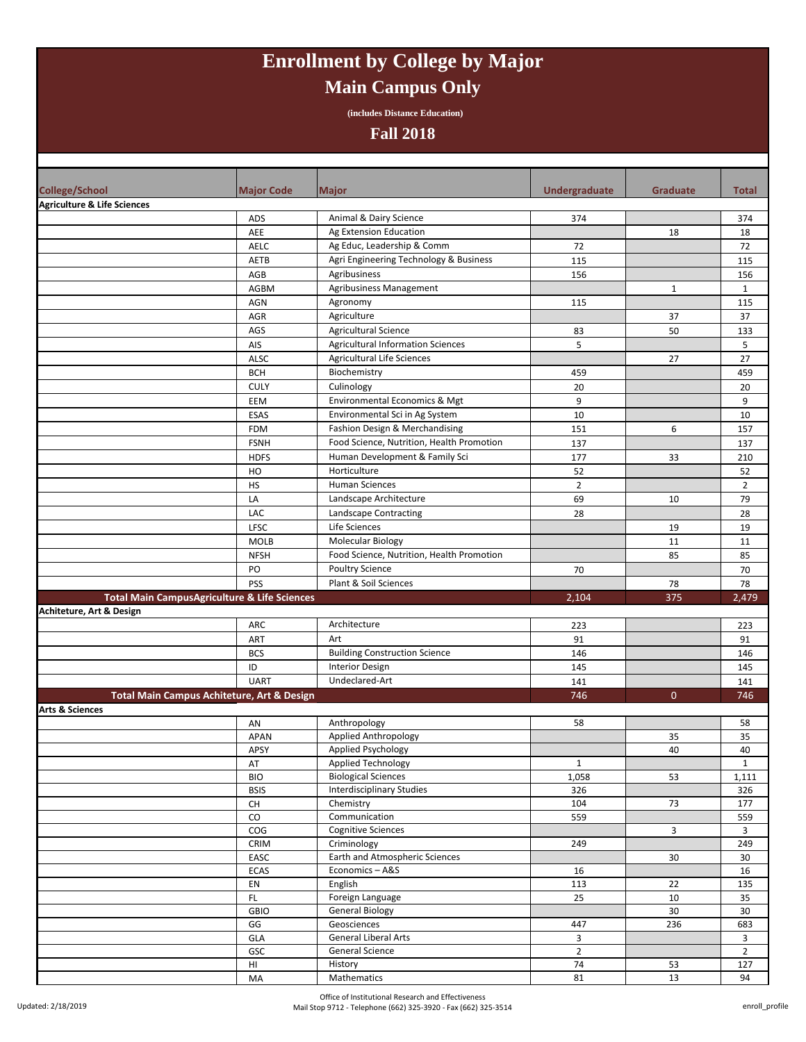# **Enrollment by College by Major Main Campus Only**

**(includes Distance Education)**

### **Fall 2018**

| <b>College/School</b>                  | <b>Major Code</b>                                       | <b>Major</b>                              | Undergraduate  | <b>Graduate</b> | Total          |
|----------------------------------------|---------------------------------------------------------|-------------------------------------------|----------------|-----------------|----------------|
| <b>Agriculture &amp; Life Sciences</b> |                                                         |                                           |                |                 |                |
|                                        | ADS                                                     | Animal & Dairy Science                    | 374            |                 | 374            |
|                                        | AEE                                                     | Ag Extension Education                    |                | 18              | 18             |
|                                        | <b>AELC</b>                                             | Ag Educ, Leadership & Comm                | 72             |                 | 72             |
|                                        | AETB                                                    | Agri Engineering Technology & Business    | 115            |                 | 115            |
|                                        | AGB                                                     | Agribusiness                              | 156            |                 | 156            |
|                                        | <b>AGBM</b>                                             | Agribusiness Management                   |                | $\mathbf{1}$    | $\mathbf{1}$   |
|                                        | AGN                                                     | Agronomy                                  | 115            |                 | 115            |
|                                        | AGR                                                     | Agriculture                               |                | 37              | 37             |
|                                        | AGS                                                     | Agricultural Science                      | 83             | 50              | 133            |
|                                        | AIS                                                     | <b>Agricultural Information Sciences</b>  | 5              |                 | 5              |
|                                        | ALSC                                                    | <b>Agricultural Life Sciences</b>         |                | 27              | 27             |
|                                        | <b>BCH</b>                                              | Biochemistry                              | 459            |                 | 459            |
|                                        | <b>CULY</b>                                             | Culinology                                | 20             |                 | 20             |
|                                        | EEM                                                     | Environmental Economics & Mgt             | 9              |                 | 9              |
|                                        | <b>ESAS</b>                                             | Environmental Sci in Ag System            | 10             |                 | 10             |
|                                        | <b>FDM</b>                                              | Fashion Design & Merchandising            | 151            | 6               | 157            |
|                                        | <b>FSNH</b>                                             | Food Science, Nutrition, Health Promotion | 137            |                 | 137            |
|                                        | <b>HDFS</b>                                             | Human Development & Family Sci            | 177            | 33              | 210            |
|                                        | HO                                                      | Horticulture                              | 52             |                 | 52             |
|                                        | HS                                                      | <b>Human Sciences</b>                     | $\overline{2}$ |                 | $\overline{2}$ |
|                                        | LA                                                      | Landscape Architecture                    | 69             | 10              | 79             |
|                                        | LAC                                                     | Landscape Contracting                     | 28             |                 | 28             |
|                                        | <b>LFSC</b>                                             | Life Sciences                             |                | 19              | 19             |
|                                        | <b>MOLB</b>                                             | <b>Molecular Biology</b>                  |                | 11              | 11             |
|                                        | <b>NFSH</b>                                             | Food Science, Nutrition, Health Promotion |                | 85              | 85             |
|                                        | PO                                                      | <b>Poultry Science</b>                    | 70             |                 | 70             |
|                                        | <b>PSS</b>                                              | Plant & Soil Sciences                     |                | 78              | 78             |
|                                        | <b>Total Main CampusAgriculture &amp; Life Sciences</b> |                                           | 2,104          | 375             | 2,479          |
| Achiteture, Art & Design               |                                                         |                                           |                |                 |                |
|                                        | ARC                                                     | Architecture                              | 223            |                 | 223            |
|                                        | ART                                                     | Art                                       | 91             |                 | 91             |
|                                        | <b>BCS</b>                                              | <b>Building Construction Science</b>      | 146            |                 | 146            |
|                                        | ID                                                      | <b>Interior Design</b>                    | 145            |                 | 145            |
|                                        | <b>UART</b>                                             | Undeclared-Art                            | 141            |                 | 141            |
|                                        | Total Main Campus Achiteture, Art & Design              |                                           | 746            | $\mathbf{0}$    | 746            |
| <b>Arts &amp; Sciences</b>             |                                                         |                                           |                |                 |                |
|                                        | AN                                                      | Anthropology<br>Applied Anthropology      | 58             | 35              | 58<br>35       |
|                                        | <b>APAN</b><br>APSY                                     | Applied Psychology                        |                | 40              | 40             |
|                                        | AT                                                      | <b>Applied Technology</b>                 | $\mathbf{1}$   |                 | $\mathbf{1}$   |
|                                        | <b>BIO</b>                                              | <b>Biological Sciences</b>                | 1,058          | 53              | 1,111          |
|                                        | <b>BSIS</b>                                             | <b>Interdisciplinary Studies</b>          | 326            |                 | 326            |
|                                        | CH                                                      | Chemistry                                 | 104            | 73              | 177            |
|                                        | ${\rm CO}$                                              | Communication                             | 559            |                 | 559            |
|                                        | COG                                                     | <b>Cognitive Sciences</b>                 |                | 3               | $\overline{3}$ |
|                                        | CRIM                                                    | Criminology                               | 249            |                 | 249            |
|                                        | EASC                                                    | Earth and Atmospheric Sciences            |                | 30              | 30             |
|                                        | ECAS                                                    | Economics-A&S                             | 16             |                 | 16             |
|                                        | EN                                                      | English                                   | 113            | 22              | 135            |
|                                        | $\mathsf{FL}$                                           | Foreign Language                          | 25             | 10              | 35             |
|                                        | GBIO                                                    | <b>General Biology</b>                    |                | 30              | 30             |
|                                        | GG                                                      | Geosciences                               | 447            | 236             | 683            |
|                                        | GLA                                                     | <b>General Liberal Arts</b>               | 3              |                 | 3              |
|                                        | GSC                                                     | General Science                           | $\overline{2}$ |                 | $\overline{2}$ |
|                                        | $\mathsf{HI}$                                           | History                                   | $74$           | 53              | 127            |
|                                        | MA                                                      | Mathematics                               | 81             | 13              | 94             |

Office of Institutional Research and Effectiveness Mail Stop 9712 - Telephone (662) 325-3920 - Fax (662) 325-3514 enroll\_profile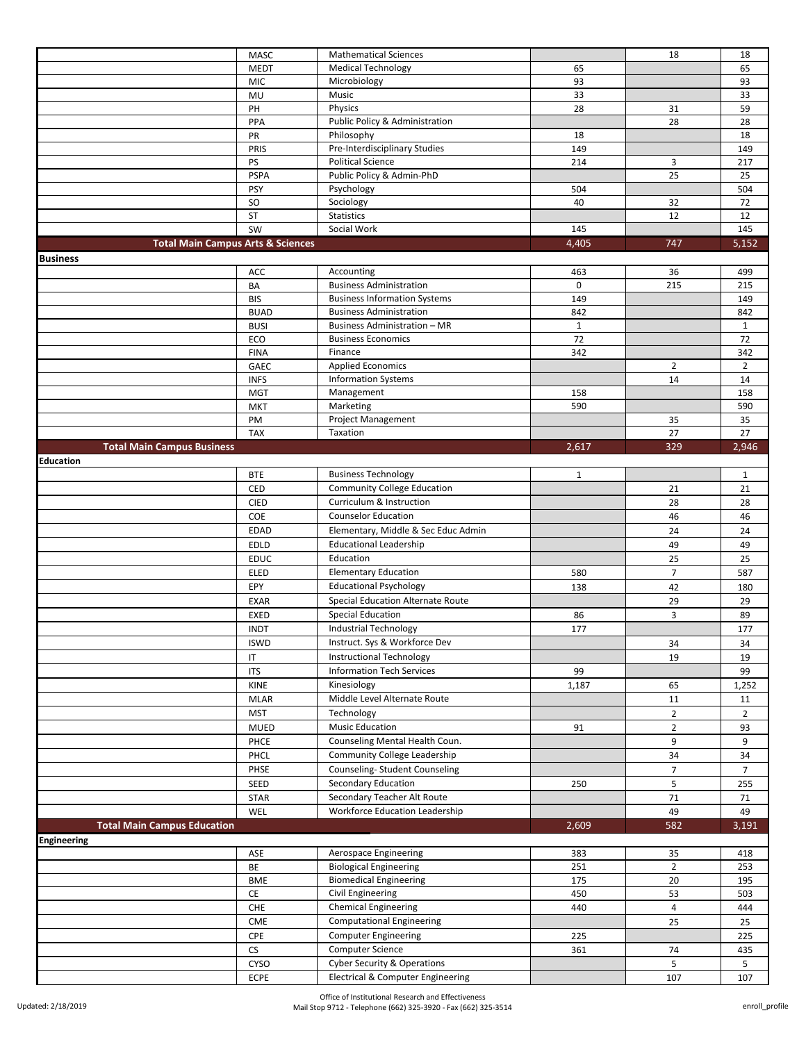|                                              | <b>MASC</b>         | <b>Mathematical Sciences</b>                                                           |              | 18             | 18                    |
|----------------------------------------------|---------------------|----------------------------------------------------------------------------------------|--------------|----------------|-----------------------|
|                                              | <b>MEDT</b>         | <b>Medical Technology</b>                                                              | 65           |                | 65                    |
|                                              | <b>MIC</b>          | Microbiology                                                                           | 93           |                | 93                    |
|                                              | MU                  | Music                                                                                  | 33           |                | 33                    |
|                                              | PH                  | Physics                                                                                | 28           | 31             | 59                    |
|                                              | PPA                 | Public Policy & Administration                                                         |              | 28             | 28                    |
|                                              | PR                  | Philosophy                                                                             | 18           |                | 18                    |
|                                              | PRIS                | Pre-Interdisciplinary Studies                                                          | 149          |                | 149                   |
|                                              | PS                  | <b>Political Science</b>                                                               | 214          | 3              | 217                   |
|                                              | <b>PSPA</b>         | Public Policy & Admin-PhD                                                              |              | 25             | 25                    |
|                                              | <b>PSY</b>          | Psychology                                                                             | 504          |                | 504                   |
|                                              | <b>SO</b>           | Sociology                                                                              | 40           | 32             | 72                    |
|                                              | ST                  | Statistics                                                                             |              | 12             | 12                    |
|                                              | SW                  | Social Work                                                                            | 145          |                | 145                   |
| <b>Total Main Campus Arts &amp; Sciences</b> |                     |                                                                                        | 4,405        | 747            | 5,152                 |
| <b>Business</b>                              |                     |                                                                                        |              |                |                       |
|                                              | ACC                 | Accounting                                                                             | 463          | 36             | 499                   |
|                                              | BA                  | <b>Business Administration</b>                                                         | 0            | 215            | 215                   |
|                                              | <b>BIS</b>          | <b>Business Information Systems</b>                                                    | 149          |                | 149                   |
|                                              | <b>BUAD</b>         | <b>Business Administration</b>                                                         | 842          |                | 842                   |
|                                              | <b>BUSI</b>         | Business Administration - MR                                                           | $\mathbf{1}$ |                | $\mathbf{1}$          |
|                                              | ECO                 | <b>Business Economics</b><br>Finance                                                   | 72           |                | 72                    |
|                                              | <b>FINA</b><br>GAEC | <b>Applied Economics</b>                                                               | 342          | $\overline{2}$ | 342<br>$\overline{2}$ |
|                                              | <b>INFS</b>         | <b>Information Systems</b>                                                             |              | 14             | 14                    |
|                                              | <b>MGT</b>          | Management                                                                             | 158          |                | 158                   |
|                                              | <b>MKT</b>          | Marketing                                                                              | 590          |                | 590                   |
|                                              | PM                  | <b>Project Management</b>                                                              |              | 35             | 35                    |
|                                              | <b>TAX</b>          | Taxation                                                                               |              | 27             | 27                    |
| <b>Total Main Campus Business</b>            |                     |                                                                                        | 2,617        | 329            | 2,946                 |
| <b>Education</b>                             |                     |                                                                                        |              |                |                       |
|                                              | <b>BTE</b>          | <b>Business Technology</b>                                                             | $\mathbf{1}$ |                | $\mathbf{1}$          |
|                                              | CED                 | <b>Community College Education</b>                                                     |              | 21             | 21                    |
|                                              | <b>CIED</b>         | Curriculum & Instruction                                                               |              | 28             | 28                    |
|                                              |                     |                                                                                        |              |                |                       |
|                                              |                     |                                                                                        |              |                |                       |
|                                              | COE                 | <b>Counselor Education</b>                                                             |              | 46             | 46                    |
|                                              | <b>EDAD</b>         | Elementary, Middle & Sec Educ Admin                                                    |              | 24             | 24                    |
|                                              | <b>EDLD</b>         | <b>Educational Leadership</b>                                                          |              | 49             | 49                    |
|                                              | <b>EDUC</b>         | Education                                                                              |              | 25             | 25                    |
|                                              | ELED                | <b>Elementary Education</b>                                                            | 580          | $\overline{7}$ | 587                   |
|                                              | EPY                 | <b>Educational Psychology</b>                                                          | 138          | 42             | 180                   |
|                                              | EXAR                | Special Education Alternate Route                                                      |              | 29             | 29                    |
|                                              | EXED                | <b>Special Education</b>                                                               | 86           | 3              | 89                    |
|                                              | <b>INDT</b>         | <b>Industrial Technology</b>                                                           | 177          |                | 177                   |
|                                              | <b>ISWD</b>         | Instruct. Sys & Workforce Dev                                                          |              | 34             | 34                    |
|                                              | IT                  | <b>Instructional Technology</b>                                                        |              | 19             | 19                    |
|                                              | <b>ITS</b>          | <b>Information Tech Services</b>                                                       | 99           |                | 99                    |
|                                              | KINE                | Kinesiology                                                                            | 1,187        | 65             | 1,252                 |
|                                              | <b>MLAR</b>         | Middle Level Alternate Route                                                           |              | 11             | 11                    |
|                                              | <b>MST</b>          | Technology                                                                             |              | $\overline{2}$ | $\overline{2}$        |
|                                              | MUED                | <b>Music Education</b>                                                                 | 91           | $\overline{2}$ | 93                    |
|                                              | PHCE                | Counseling Mental Health Coun.                                                         |              | 9              | 9                     |
|                                              | PHCL                | Community College Leadership                                                           |              | 34             | 34                    |
|                                              | PHSE                | Counseling-Student Counseling                                                          |              | $\overline{7}$ | $\overline{7}$        |
|                                              | SEED                | <b>Secondary Education</b>                                                             | 250          | 5              | 255                   |
|                                              | STAR                | Secondary Teacher Alt Route                                                            |              | 71             | 71                    |
|                                              | WEL                 | Workforce Education Leadership                                                         |              | 49             | 49                    |
| <b>Total Main Campus Education</b>           |                     |                                                                                        | 2,609        | 582            | 3,191                 |
| <b>Engineering</b>                           |                     |                                                                                        |              |                |                       |
|                                              | ASE                 | <b>Aerospace Engineering</b>                                                           | 383          | 35             | 418                   |
|                                              | BE                  | <b>Biological Engineering</b>                                                          | 251          | $\overline{2}$ | 253                   |
|                                              | BME                 | <b>Biomedical Engineering</b>                                                          | 175          | 20             | 195                   |
|                                              | $\mathsf{CE}\,$     | Civil Engineering                                                                      | 450          | 53             | 503                   |
|                                              | CHE                 | <b>Chemical Engineering</b>                                                            | 440          | 4              | 444                   |
|                                              | CME                 | <b>Computational Engineering</b>                                                       |              | 25             | 25                    |
|                                              | CPE                 | <b>Computer Engineering</b>                                                            | 225          |                | 225                   |
|                                              | CS                  | Computer Science                                                                       | 361          | 74             | 435                   |
|                                              | CYSO<br>ECPE        | <b>Cyber Security &amp; Operations</b><br><b>Electrical &amp; Computer Engineering</b> |              | 5<br>107       | 5<br>107              |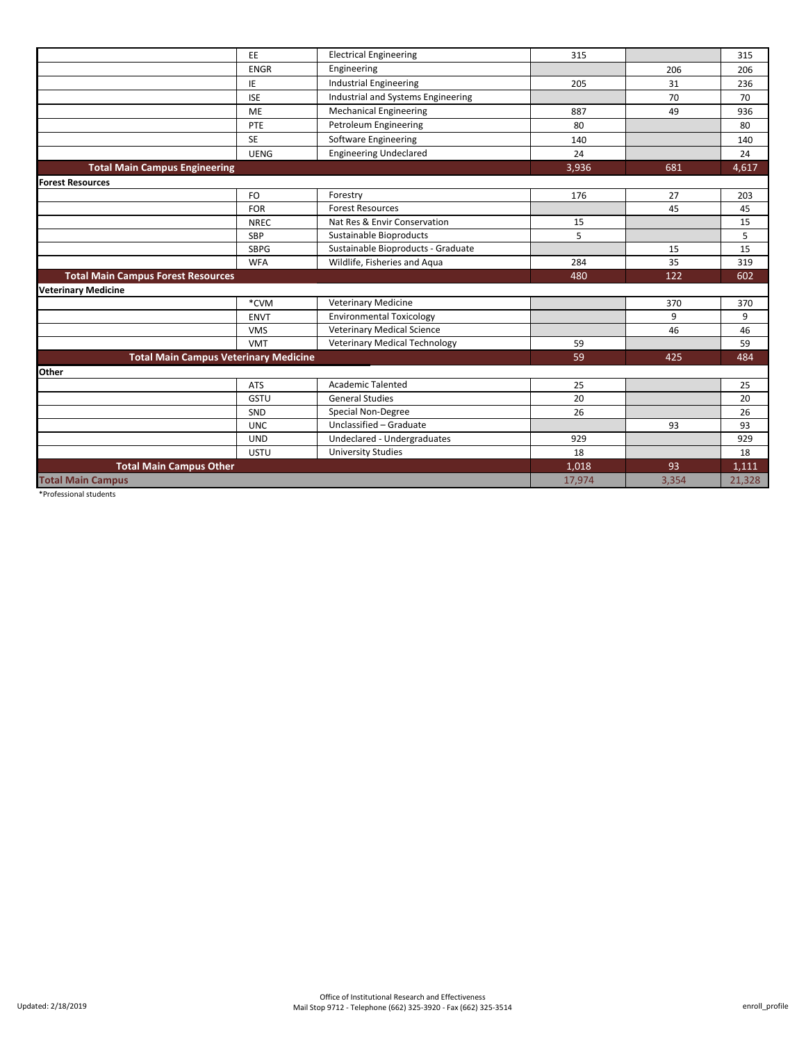|                                              | EE          | <b>Electrical Engineering</b>        | 315    |       | 315    |
|----------------------------------------------|-------------|--------------------------------------|--------|-------|--------|
|                                              | <b>ENGR</b> | Engineering                          |        | 206   | 206    |
|                                              | IE          | <b>Industrial Engineering</b>        | 205    | 31    | 236    |
|                                              | <b>ISE</b>  | Industrial and Systems Engineering   |        | 70    | 70     |
|                                              | <b>ME</b>   | <b>Mechanical Engineering</b>        | 887    | 49    | 936    |
|                                              | PTE         | Petroleum Engineering                | 80     |       | 80     |
|                                              | <b>SE</b>   | Software Engineering                 | 140    |       | 140    |
|                                              | <b>UENG</b> | <b>Engineering Undeclared</b>        | 24     |       | 24     |
| <b>Total Main Campus Engineering</b>         |             |                                      | 3,936  | 681   | 4,617  |
| <b>Forest Resources</b>                      |             |                                      |        |       |        |
|                                              | FO          | Forestry                             | 176    | 27    | 203    |
|                                              | <b>FOR</b>  | <b>Forest Resources</b>              |        | 45    | 45     |
|                                              | <b>NREC</b> | Nat Res & Envir Conservation         | 15     |       | 15     |
|                                              | <b>SBP</b>  | Sustainable Bioproducts              | 5      |       | 5      |
|                                              | <b>SBPG</b> | Sustainable Bioproducts - Graduate   |        | 15    | 15     |
|                                              | <b>WFA</b>  | Wildlife, Fisheries and Aqua         | 284    | 35    | 319    |
| <b>Total Main Campus Forest Resources</b>    |             |                                      | 480    | 122   | 602    |
| <b>Veterinary Medicine</b>                   |             |                                      |        |       |        |
|                                              | *CVM        | <b>Veterinary Medicine</b>           |        | 370   | 370    |
|                                              | <b>ENVT</b> | <b>Environmental Toxicology</b>      |        | 9     | 9      |
|                                              | <b>VMS</b>  | <b>Veterinary Medical Science</b>    |        | 46    | 46     |
|                                              | <b>VMT</b>  | <b>Veterinary Medical Technology</b> | 59     |       | 59     |
| <b>Total Main Campus Veterinary Medicine</b> |             |                                      | 59     | 425   | 484    |
| Other                                        |             |                                      |        |       |        |
|                                              | <b>ATS</b>  | <b>Academic Talented</b>             | 25     |       | 25     |
|                                              | GSTU        | <b>General Studies</b>               | 20     |       | 20     |
|                                              | SND         | Special Non-Degree                   | 26     |       | 26     |
|                                              | <b>UNC</b>  | Unclassified - Graduate              |        | 93    | 93     |
|                                              | <b>UND</b>  | Undeclared - Undergraduates          | 929    |       | 929    |
|                                              | <b>USTU</b> | <b>University Studies</b>            | 18     |       | 18     |
| <b>Total Main Campus Other</b>               |             |                                      | 1,018  | 93    | 1,111  |
| <b>Total Main Campus</b>                     |             |                                      | 17,974 | 3,354 | 21,328 |
|                                              |             |                                      |        |       |        |

\*Professional students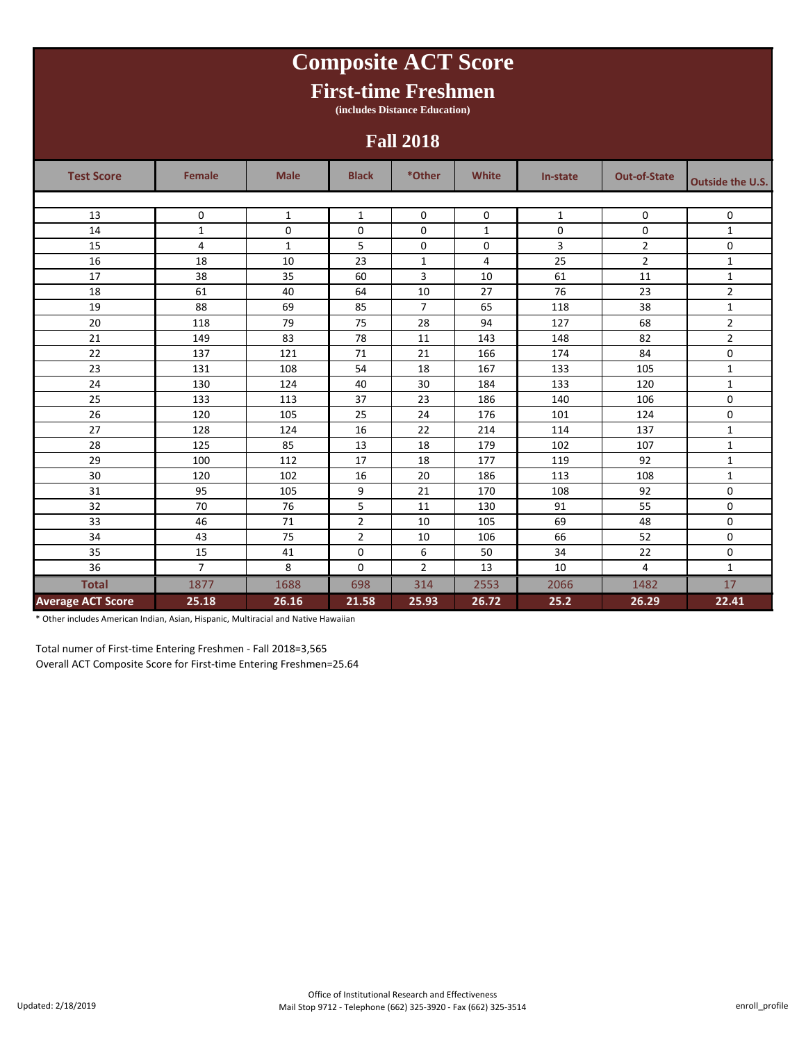### **Test Score Female Male Black \*Other White In-state Out-of-State Outside the U.S.** 13 0 1 1 1 0 0 1 0 0 0 0 0 0 14 | 1 | 0 | 0 | 0 | 1 | 0 | 0 | 1 15 | 4 | 1 | 5 | 0 | 0 | 3 | 2 | 0 16 18 10 23 1 4 25 2 1 17 | 38 | 35 | 60 | 3 | 10 | 61 | 11 | 1 18 61 40 64 10 27 76 23 2 19 88 69 85 7 65 118 38 1 20 118 79 75 28 94 127 68 2 21 | 149 | 83 | 78 | 11 | 143 | 148 | 82 | 2 22 137 121 71 21 166 174 84 0 23 131 108 54 18 167 133 105 1 24 130 124 40 30 184 133 120 1 25 133 113 37 23 186 140 106 0 26 120 105 25 24 176 101 124 0 27 | 128 | 124 | 16 | 22 | 214 | 114 | 137 | 1 28 125 85 13 18 179 102 107 1 29 100 112 17 18 177 119 92 1 30 120 102 16 20 186 113 108 108 31 95 | 105 | 9 | 21 | 170 | 108 | 92 | 0 32 70 76 5 11 130 91 55 0 33 46 71 2 10 105 69 48 0 34 43 75 2 10 106 66 52 0 35 15 | 41 | 0 | 6 | 50 | 34 | 22 | 0 36 **1** 7 8 0 2 13 10 4 1 **Total** 1877 1688 698 314 2553 2066 1482 17 **Average ACT Score 25.18 26.16 21.58 25.93 26.72 25.2 26.29 22.41 Composite ACT Score First-time Freshmen (includes Distance Education) Fall 2018**

\* Other includes American Indian, Asian, Hispanic, Multiracial and Native Hawaiian

Total numer of First-time Entering Freshmen - Fall 2018=3,565 Overall ACT Composite Score for First-time Entering Freshmen=25.64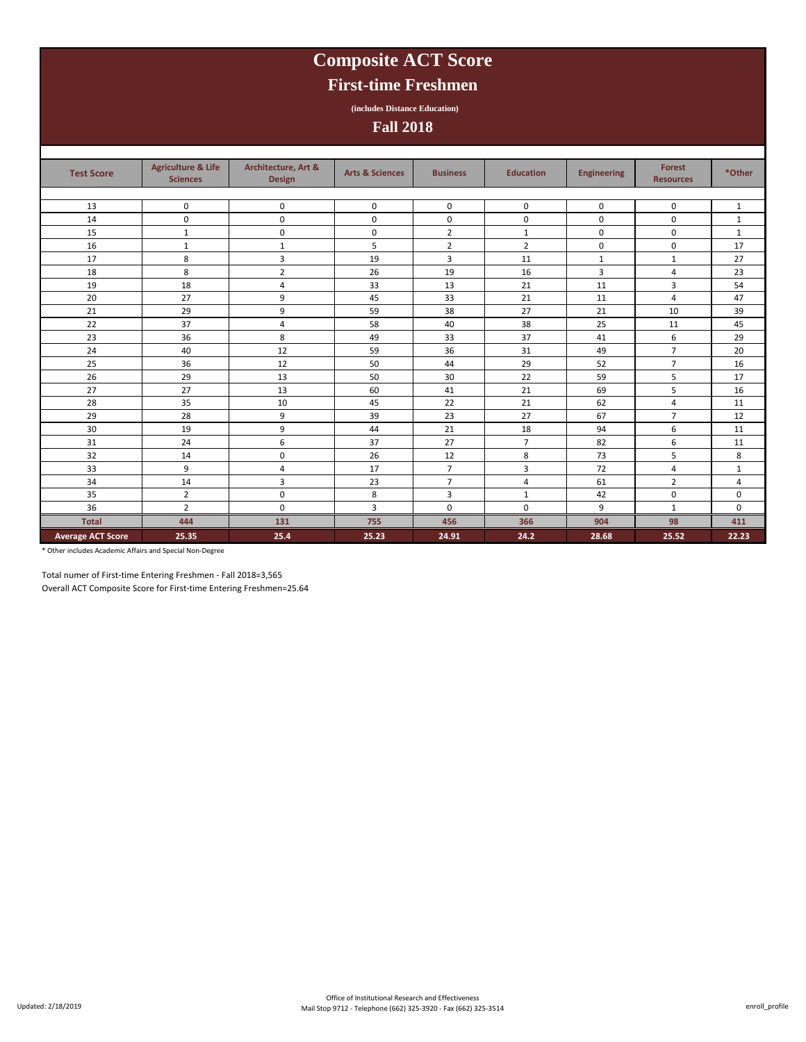# **Composite ACT Score**

## **First-time Freshmen**

**(includes Distance Education)**

**Fall 2018**

| <b>Test Score</b>        | <b>Agriculture &amp; Life</b><br><b>Sciences</b> | Architecture, Art &<br><b>Design</b> | <b>Arts &amp; Sciences</b> | <b>Business</b> | <b>Education</b> | <b>Engineering</b> | <b>Forest</b><br><b>Resources</b> | *Other       |
|--------------------------|--------------------------------------------------|--------------------------------------|----------------------------|-----------------|------------------|--------------------|-----------------------------------|--------------|
|                          |                                                  |                                      |                            |                 |                  |                    |                                   |              |
| 13                       | $\mathbf 0$                                      | $\mathbf 0$                          | $\mathbf 0$                | 0               | 0                | $\mathbf 0$        | 0                                 | $\mathbf{1}$ |
| 14                       | 0                                                | $\mathbf 0$                          | $\mathsf 0$                | $\pmb{0}$       | $\mathbf 0$      | $\mathbf 0$        | $\mathbf 0$                       | $\mathbf{1}$ |
| 15                       | $\mathbf{1}$                                     | $\mathbf 0$                          | 0                          | $\overline{2}$  | $\mathbf{1}$     | $\mathsf 0$        | $\mathbf 0$                       | $\mathbf{1}$ |
| 16                       | $\mathbf{1}$                                     | $\mathbf{1}$                         | 5                          | $\overline{2}$  | $\overline{2}$   | $\mathbf 0$        | $\mathbf 0$                       | 17           |
| 17                       | 8                                                | 3                                    | 19                         | 3               | 11               | $\mathbf{1}$       | $\mathbf{1}$                      | 27           |
| 18                       | 8                                                | $\overline{2}$                       | 26                         | 19              | 16               | 3                  | $\overline{4}$                    | 23           |
| 19                       | 18                                               | $\overline{4}$                       | 33                         | 13              | 21               | 11                 | 3                                 | 54           |
| 20                       | 27                                               | 9                                    | 45                         | 33              | 21               | 11                 | $\overline{4}$                    | 47           |
| 21                       | 29                                               | 9                                    | 59                         | 38              | 27               | 21                 | 10                                | 39           |
| 22                       | 37                                               | 4                                    | 58                         | 40              | 38               | 25                 | 11                                | 45           |
| 23                       | 36                                               | 8                                    | 49                         | 33              | 37               | 41                 | 6                                 | 29           |
| 24                       | 40                                               | 12                                   | 59                         | 36              | 31               | 49                 | $\overline{7}$                    | 20           |
| 25                       | 36                                               | 12                                   | 50                         | 44              | 29               | 52                 | $\overline{7}$                    | 16           |
| 26                       | 29                                               | 13                                   | 50                         | 30              | 22               | 59                 | 5                                 | 17           |
| 27                       | 27                                               | 13                                   | 60                         | 41              | 21               | 69                 | 5                                 | 16           |
| 28                       | 35                                               | 10                                   | 45                         | 22              | 21               | 62                 | 4                                 | 11           |
| 29                       | 28                                               | 9                                    | 39                         | 23              | 27               | 67                 | $\overline{7}$                    | 12           |
| 30                       | 19                                               | 9                                    | 44                         | 21              | 18               | 94                 | 6                                 | 11           |
| 31                       | 24                                               | 6                                    | 37                         | 27              | $\overline{7}$   | 82                 | 6                                 | 11           |
| 32                       | 14                                               | 0                                    | 26                         | 12              | 8                | 73                 | 5                                 | 8            |
| 33                       | 9                                                | 4                                    | 17                         | $\overline{7}$  | 3                | 72                 | 4                                 | $\mathbf{1}$ |
| 34                       | 14                                               | 3                                    | 23                         | $\overline{7}$  | 4                | 61                 | $\overline{2}$                    | 4            |
| 35                       | $\overline{2}$                                   | $\mathbf 0$                          | 8                          | 3               | $\mathbf{1}$     | 42                 | $\mathbf 0$                       | $\mathbf 0$  |
| 36                       | $\overline{2}$                                   | $\mathbf 0$                          | $\overline{3}$             | $\mathbf 0$     | $\mathbf 0$      | 9                  | $\mathbf{1}$                      | $\mathbf 0$  |
| <b>Total</b>             | 444                                              | 131                                  | 755                        | 456             | 366              | 904                | 98                                | 411          |
| <b>Average ACT Score</b> | 25.35                                            | 25.4                                 | 25.23                      | 24.91           | 24.2             | 28.68              | 25.52                             | 22.23        |

\* Other includes Academic Affairs and Special Non-Degree

Total numer of First-time Entering Freshmen - Fall 2018=3,565

Overall ACT Composite Score for First-time Entering Freshmen=25.64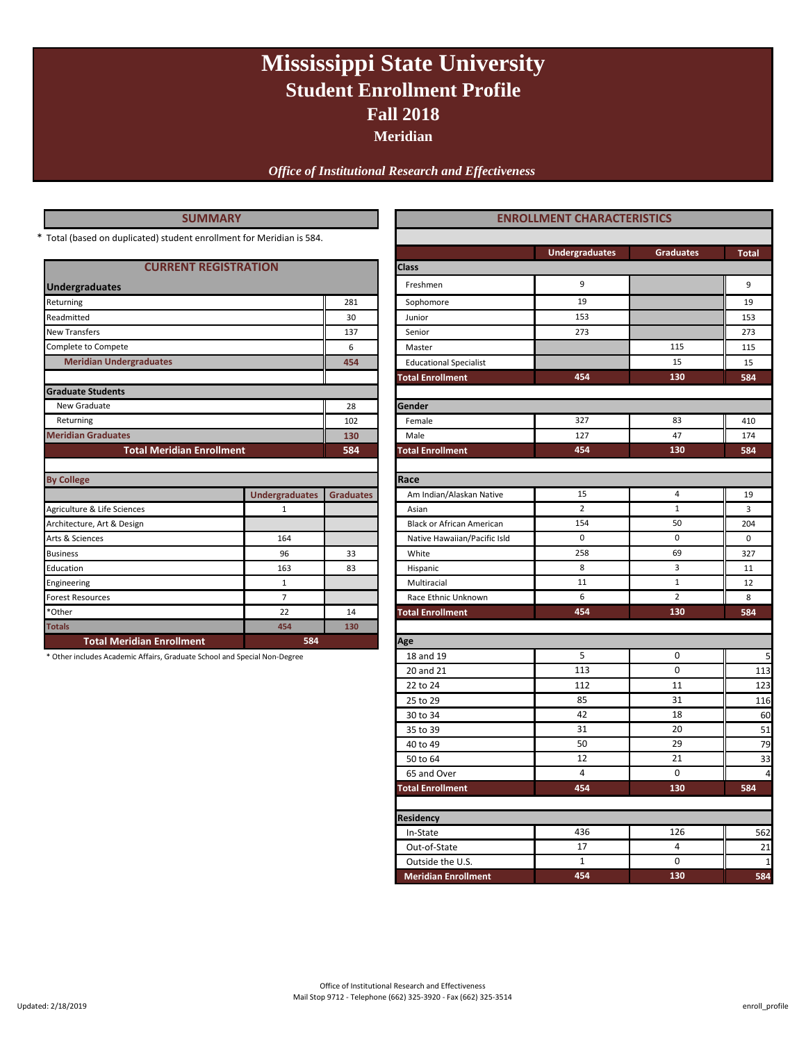# **Fall 2018 Mississippi State University Student Enrollment Profile**

**Meridian**

*Office of Institutional Research and Effectiveness*

| SUMMAR` |  |
|---------|--|
|---------|--|

| <b>CURRENT REGISTRATION</b>      |                       |                  |
|----------------------------------|-----------------------|------------------|
| <b>Undergraduates</b>            |                       |                  |
| Returning                        |                       | 281              |
| Readmitted                       |                       | 30               |
| <b>New Transfers</b>             |                       | 137              |
| Complete to Compete              |                       | 6                |
| <b>Meridian Undergraduates</b>   |                       | 454              |
| <b>Graduate Students</b>         |                       |                  |
| New Graduate                     |                       | 28               |
| Returning                        |                       | 102              |
| <b>Meridian Graduates</b>        | 130                   |                  |
| <b>Total Meridian Enrollment</b> | 584                   |                  |
|                                  |                       |                  |
| <b>By College</b>                |                       |                  |
|                                  | <b>Undergraduates</b> | <b>Graduates</b> |
| Agriculture & Life Sciences      | 1                     |                  |
| Architecture, Art & Design       |                       |                  |
| Arts & Sciences                  | 164                   |                  |
| <b>Business</b>                  | 96                    | 33               |
| Education                        | 163                   | 83               |
| Engineering                      | $\mathbf{1}$          |                  |
| <b>Forest Resources</b>          | $\overline{7}$        |                  |
| *Other                           | 22                    | 14               |
| <b>Totals</b>                    | 454                   | 130              |
| <b>Total Meridian Enrollment</b> | 584                   |                  |

| <b>SUMMARY</b>                                                            |                             |                  | <b>ENROLLMENT CHARACTERISTICS</b> |                       |                  |                |
|---------------------------------------------------------------------------|-----------------------------|------------------|-----------------------------------|-----------------------|------------------|----------------|
| Total (based on duplicated) student enrollment for Meridian is 584.       |                             |                  |                                   |                       |                  |                |
|                                                                           |                             |                  |                                   | <b>Undergraduates</b> | <b>Graduates</b> | <b>Total</b>   |
|                                                                           | <b>CURRENT REGISTRATION</b> |                  | Class                             |                       |                  |                |
| <b>Undergraduates</b>                                                     |                             |                  | Freshmen                          | 9                     |                  | 9              |
| Returning                                                                 |                             | 281              | Sophomore                         | 19                    |                  | 19             |
| Readmitted                                                                |                             | 30               | Junior                            | 153                   |                  | 153            |
| New Transfers                                                             |                             | 137              | Senior                            | 273                   |                  | 273            |
| Complete to Compete                                                       |                             | 6                | Master                            |                       | 115              | 115            |
| <b>Meridian Undergraduates</b>                                            |                             | 454              | <b>Educational Specialist</b>     |                       | 15               | 15             |
|                                                                           |                             |                  | <b>Total Enrollment</b>           | 454                   | 130              | 584            |
| <b>Graduate Students</b>                                                  |                             |                  |                                   |                       |                  |                |
| New Graduate                                                              |                             | 28               | Gender                            |                       |                  |                |
| Returning                                                                 |                             | 102              | Female                            | 327                   | 83               | 410            |
| <b>Meridian Graduates</b>                                                 |                             | 130              | Male                              | 127                   | 47               | 174            |
| <b>Total Meridian Enrollment</b>                                          |                             | 584              | <b>Total Enrollment</b>           | 454                   | 130              | 584            |
|                                                                           |                             |                  |                                   |                       |                  |                |
| <b>By College</b>                                                         |                             |                  | Race                              |                       |                  |                |
|                                                                           | <b>Undergraduates</b>       | <b>Graduates</b> | Am Indian/Alaskan Native          | 15                    | $\overline{4}$   | 19             |
| Agriculture & Life Sciences                                               | $\mathbf{1}$                |                  | Asian                             | $\overline{2}$        | $1\,$            | $\overline{3}$ |
| Architecture, Art & Design                                                |                             |                  | <b>Black or African American</b>  | 154                   | 50               | 204            |
| Arts & Sciences                                                           | 164                         |                  | Native Hawaiian/Pacific Isld      | $\mathsf 0$           | 0                | $\mathbf 0$    |
| <b>Business</b>                                                           | 96                          | 33               | White                             | 258                   | 69               | 327            |
| Education                                                                 | 163                         | 83               | Hispanic                          | 8                     | 3                | 11             |
| Engineering                                                               | $\mathbf{1}$                |                  | Multiracial                       | 11                    | $\mathbf{1}$     | 12             |
| <b>Forest Resources</b>                                                   | $\overline{7}$              |                  | Race Ethnic Unknown               | 6                     | $\overline{2}$   | 8              |
| *Other                                                                    | 22                          | 14               | <b>Total Enrollment</b>           | 454                   | 130              | 584            |
| <b>Totals</b>                                                             | 454                         | 130              |                                   |                       |                  |                |
| <b>Total Meridian Enrollment</b>                                          | 584                         |                  | Age                               |                       |                  |                |
| * Other includes Academic Affairs, Graduate School and Special Non-Degree |                             |                  | 18 and 19                         | 5                     | 0                | 5              |
|                                                                           |                             |                  | 20 and 21                         | 113                   | $\pmb{0}$        | 113            |
|                                                                           |                             |                  | 22 to 24                          | 112                   | 11               | 123            |
|                                                                           |                             |                  | 25 to 29                          | 85                    | 31               | 116            |
|                                                                           |                             |                  | 30 to 34                          | 42                    | 18               | 60             |
|                                                                           |                             |                  | 35 to 39                          | 31                    | 20               | 51             |
|                                                                           |                             |                  | 40 to 49                          | 50                    | 29               | 79             |
|                                                                           |                             |                  | 50 to 64                          | 12                    | 21               | 33             |
|                                                                           |                             |                  | 65 and Over                       | $\overline{4}$        | $\pmb{0}$        | $\overline{4}$ |
|                                                                           |                             |                  | <b>Total Enrollment</b>           | 454                   | 130              | 584            |
|                                                                           |                             |                  | Residency                         |                       |                  |                |
|                                                                           |                             |                  | In-State                          | 436                   | 126              | 562            |
|                                                                           |                             |                  | Out-of-State                      | 17                    | 4                | 21             |
|                                                                           |                             |                  | Outside the U.S.                  | $\mathbf{1}$          | 0                | -1             |
|                                                                           |                             |                  | <b>Meridian Enrollment</b>        | 454                   | 130              | 584            |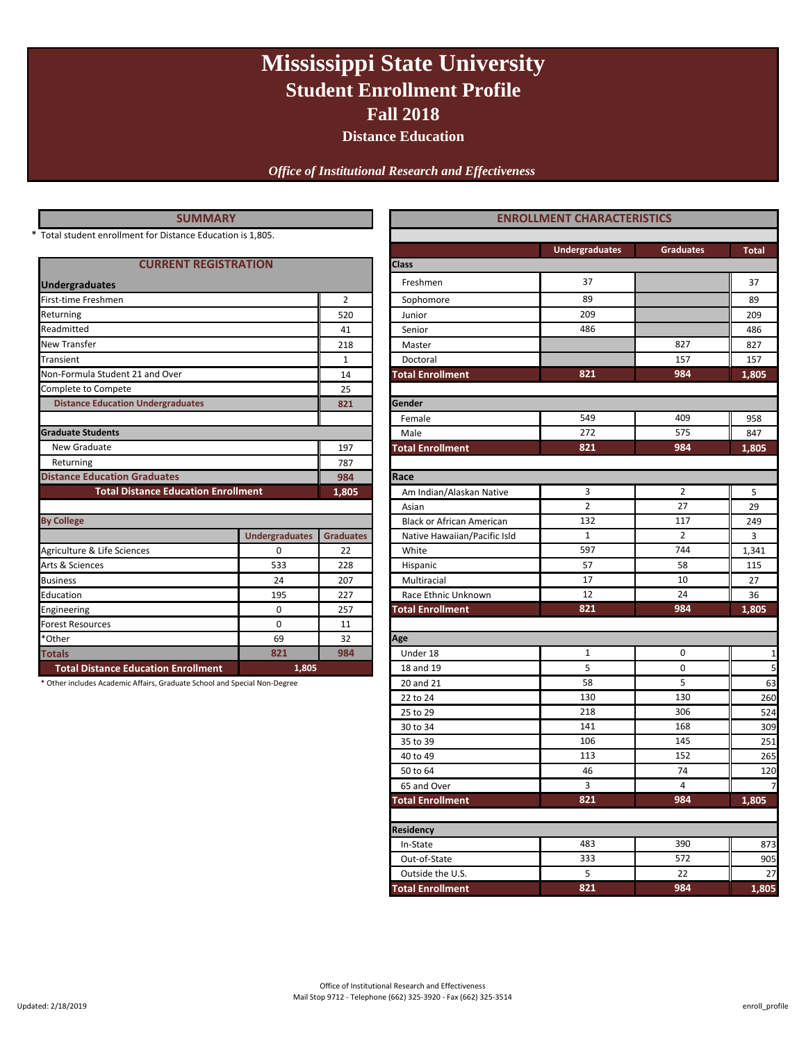# **Mississippi State University Student Enrollment Profile Fall 2018**

**Distance Education**

*Office of Institutional Research and Effectiveness*

| <b>SUMMARY</b>                                                            |                       |                  | <b>ENROLLMENT CHARACTERISTICS</b> |                       |                  |              |  |
|---------------------------------------------------------------------------|-----------------------|------------------|-----------------------------------|-----------------------|------------------|--------------|--|
| * Total student enrollment for Distance Education is 1,805.               |                       |                  |                                   |                       |                  |              |  |
|                                                                           |                       |                  |                                   | <b>Undergraduates</b> | <b>Graduates</b> | <b>Total</b> |  |
| <b>CURRENT REGISTRATION</b>                                               |                       |                  | <b>Class</b>                      |                       |                  |              |  |
| <b>Undergraduates</b>                                                     |                       |                  | Freshmen                          | 37                    |                  | 37           |  |
| First-time Freshmen                                                       |                       | $\overline{2}$   | Sophomore                         | 89                    |                  | 89           |  |
| Returning                                                                 |                       | 520              | Junior                            | 209                   |                  | 209          |  |
| Readmitted                                                                |                       | 41               | Senior                            | 486                   |                  | 486          |  |
| New Transfer                                                              |                       | 218              | Master                            | 827                   |                  | 827          |  |
| Transient                                                                 |                       | $\mathbf{1}$     | Doctoral                          | 157                   |                  | 157          |  |
| Non-Formula Student 21 and Over                                           |                       | 14               | <b>Total Enrollment</b>           | 821                   | 984              | 1,805        |  |
| Complete to Compete                                                       |                       | 25               |                                   |                       |                  |              |  |
| <b>Distance Education Undergraduates</b>                                  |                       | 821              | Gender                            |                       |                  |              |  |
|                                                                           |                       |                  | Female                            | 549                   | 409              | 958          |  |
| <b>Graduate Students</b>                                                  |                       |                  | Male                              | 272                   | 575              | 847          |  |
| New Graduate                                                              |                       | 197              | <b>Total Enrollment</b>           | 821                   | 984              | 1,805        |  |
| Returning                                                                 |                       | 787              |                                   |                       |                  |              |  |
| <b>Distance Education Graduates</b>                                       |                       | 984              | Race                              |                       |                  |              |  |
| <b>Total Distance Education Enrollment</b>                                |                       | 1,805            | Am Indian/Alaskan Native          | 3                     | $\overline{2}$   | 5            |  |
|                                                                           |                       |                  | Asian                             | $\overline{2}$        | 27               | 29           |  |
| <b>By College</b>                                                         |                       |                  | <b>Black or African American</b>  | 132                   | 117              | 249          |  |
|                                                                           | <b>Undergraduates</b> | <b>Graduates</b> | Native Hawaiian/Pacific Isld      | $\mathbf{1}$          | $\overline{2}$   | 3            |  |
| Agriculture & Life Sciences                                               | $\mathbf 0$           | 22               | White                             | 597                   | 744              | 1,341        |  |
| Arts & Sciences                                                           | 533                   | 228              | Hispanic                          | 57                    | 58               | 115          |  |
| <b>Business</b>                                                           | 24                    | 207              | Multiracial                       | 17                    | 10               | 27           |  |
| Education                                                                 | 195                   | 227              | Race Ethnic Unknown               | 12                    | 24               | 36           |  |
| Engineering                                                               | 0                     | 257              | <b>Total Enrollment</b>           | 821                   | 984              | 1,805        |  |
| <b>Forest Resources</b>                                                   | 0                     | 11               |                                   |                       |                  |              |  |
| *Other                                                                    | 69                    | 32               | Age                               |                       |                  |              |  |
| <b>Totals</b>                                                             | 821                   | 984              | Under 18                          | $\mathbf{1}$          | 0                | 1            |  |
| <b>Total Distance Education Enrollment</b>                                | 1,805                 |                  | 18 and 19                         | 5                     | $\mathbf 0$      | 5            |  |
| * Other includes Academic Affairs, Graduate School and Special Non-Degree |                       |                  | 20 and 21                         | 58                    | 5                | 63           |  |
|                                                                           |                       |                  | 22 to 24                          | 130                   | 130              | 260          |  |
|                                                                           |                       |                  | 25 to 29                          | 218                   | 306              | 524          |  |
|                                                                           |                       |                  | 30 to 34                          | 141                   | 168              | 309          |  |

**Residency**

 30 to 34 309  $35 \text{ to } 39$  106 145 251 40 to 49 **113** 113 152 **1265** 50 to 64 120 65 and Over 2012 12:00:00 12:00:00 12:00:00 12:00:00 12:00:00 12:00:00 12:00:00 12:00:00 12:00:00 12:00:00 12:00:00 12:00:00 12:00:00 12:00:00 12:00:00 12:00:00 12:00:00 12:00:00 12:00:00 12:00:00 12:00:00 12:00:00 12:00:0 **Total Enrollment 1,805**

113

 In-State 873 Out-of-State 333 572 905 Outside the U.S. 27 22 22 **Total Enrollment 1,805**

572

**821 984**

152

**821 984**

5 22

483 390

106 145

3 4

46 74